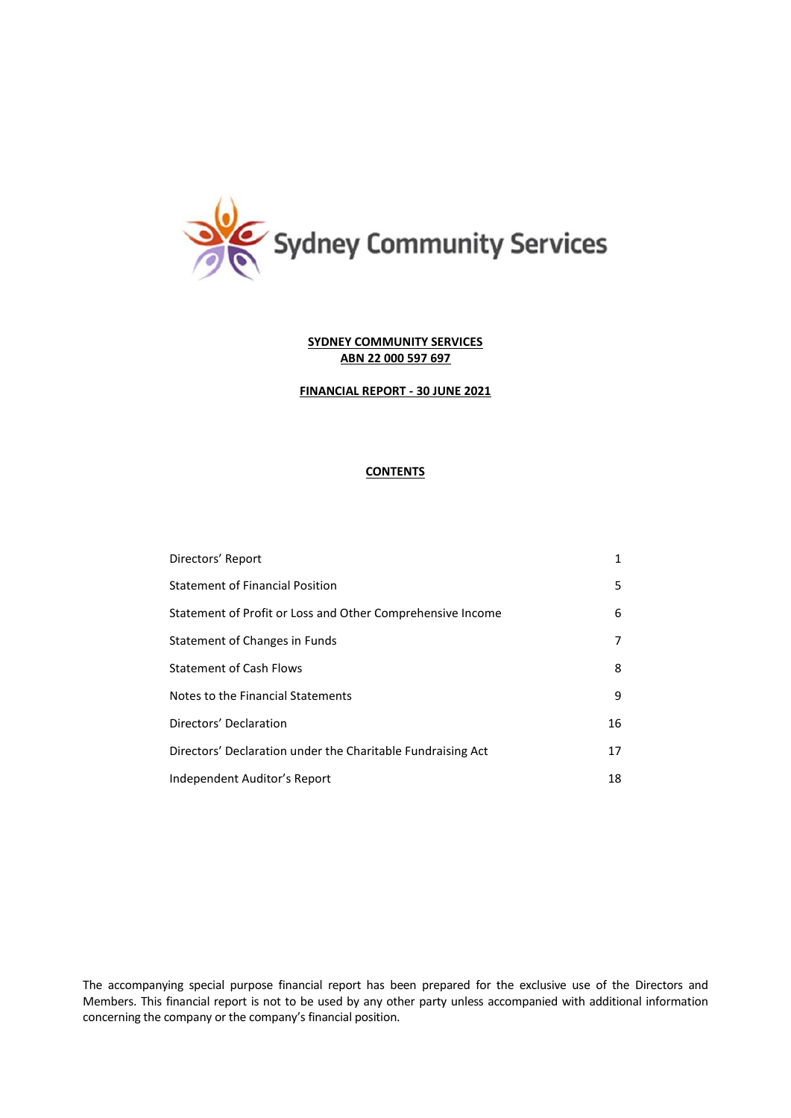

## **FINANCIAL REPORT - 30 JUNE 2021**

# **CONTENTS**

| Directors' Report                                           | 1  |
|-------------------------------------------------------------|----|
| <b>Statement of Financial Position</b>                      | 5  |
| Statement of Profit or Loss and Other Comprehensive Income  | 6  |
| Statement of Changes in Funds                               | 7  |
| <b>Statement of Cash Flows</b>                              | 8  |
| Notes to the Financial Statements                           | 9  |
| Directors' Declaration                                      | 16 |
| Directors' Declaration under the Charitable Fundraising Act | 17 |
| Independent Auditor's Report                                | 18 |

The accompanying special purpose financial report has been prepared for the exclusive use of the Directors and Members. This financial report is not to be used by any other party unless accompanied with additional information concerning the company or the company's financial position.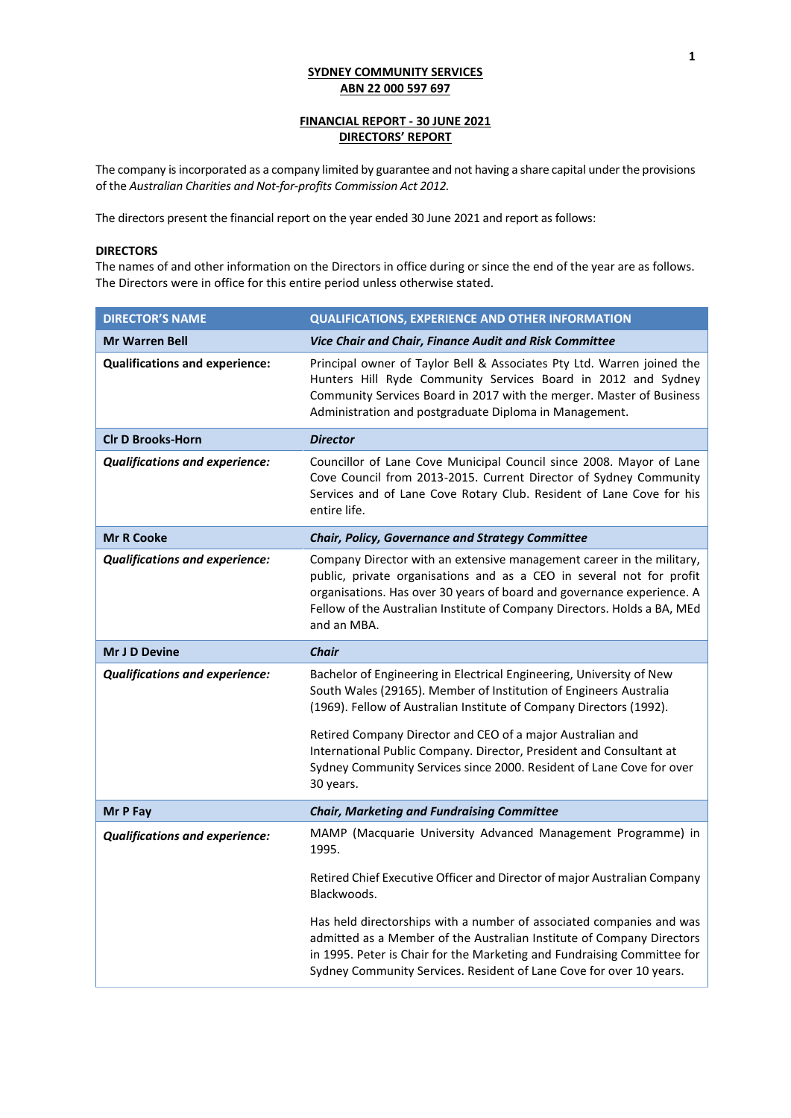# **FINANCIAL REPORT - 30 JUNE 2021 DIRECTORS' REPORT**

The company is incorporated as a company limited by guarantee and not having a share capital under the provisions of the *Australian Charities and Not-for-profits Commission Act 2012.*

The directors present the financial report on the year ended 30 June 2021 and report as follows:

## **DIRECTORS**

The names of and other information on the Directors in office during or since the end of the year are as follows. The Directors were in office for this entire period unless otherwise stated.

| <b>DIRECTOR'S NAME</b>                | <b>QUALIFICATIONS, EXPERIENCE AND OTHER INFORMATION</b>                                                                                                                                                                                                                                                                                                                                                                                    |
|---------------------------------------|--------------------------------------------------------------------------------------------------------------------------------------------------------------------------------------------------------------------------------------------------------------------------------------------------------------------------------------------------------------------------------------------------------------------------------------------|
| <b>Mr Warren Bell</b>                 | Vice Chair and Chair, Finance Audit and Risk Committee                                                                                                                                                                                                                                                                                                                                                                                     |
| <b>Qualifications and experience:</b> | Principal owner of Taylor Bell & Associates Pty Ltd. Warren joined the<br>Hunters Hill Ryde Community Services Board in 2012 and Sydney<br>Community Services Board in 2017 with the merger. Master of Business<br>Administration and postgraduate Diploma in Management.                                                                                                                                                                  |
| <b>CIr D Brooks-Horn</b>              | <b>Director</b>                                                                                                                                                                                                                                                                                                                                                                                                                            |
| <b>Qualifications and experience:</b> | Councillor of Lane Cove Municipal Council since 2008. Mayor of Lane<br>Cove Council from 2013-2015. Current Director of Sydney Community<br>Services and of Lane Cove Rotary Club. Resident of Lane Cove for his<br>entire life.                                                                                                                                                                                                           |
| <b>Mr R Cooke</b>                     | Chair, Policy, Governance and Strategy Committee                                                                                                                                                                                                                                                                                                                                                                                           |
| <b>Qualifications and experience:</b> | Company Director with an extensive management career in the military,<br>public, private organisations and as a CEO in several not for profit<br>organisations. Has over 30 years of board and governance experience. A<br>Fellow of the Australian Institute of Company Directors. Holds a BA, MEd<br>and an MBA.                                                                                                                         |
| Mr J D Devine                         | <b>Chair</b>                                                                                                                                                                                                                                                                                                                                                                                                                               |
| <b>Qualifications and experience:</b> | Bachelor of Engineering in Electrical Engineering, University of New<br>South Wales (29165). Member of Institution of Engineers Australia<br>(1969). Fellow of Australian Institute of Company Directors (1992).<br>Retired Company Director and CEO of a major Australian and<br>International Public Company. Director, President and Consultant at<br>Sydney Community Services since 2000. Resident of Lane Cove for over<br>30 years. |
| Mr P Fay                              | <b>Chair, Marketing and Fundraising Committee</b>                                                                                                                                                                                                                                                                                                                                                                                          |
| <b>Qualifications and experience:</b> | MAMP (Macquarie University Advanced Management Programme) in<br>1995.                                                                                                                                                                                                                                                                                                                                                                      |
|                                       | Retired Chief Executive Officer and Director of major Australian Company<br>Blackwoods.                                                                                                                                                                                                                                                                                                                                                    |
|                                       | Has held directorships with a number of associated companies and was<br>admitted as a Member of the Australian Institute of Company Directors<br>in 1995. Peter is Chair for the Marketing and Fundraising Committee for<br>Sydney Community Services. Resident of Lane Cove for over 10 years.                                                                                                                                            |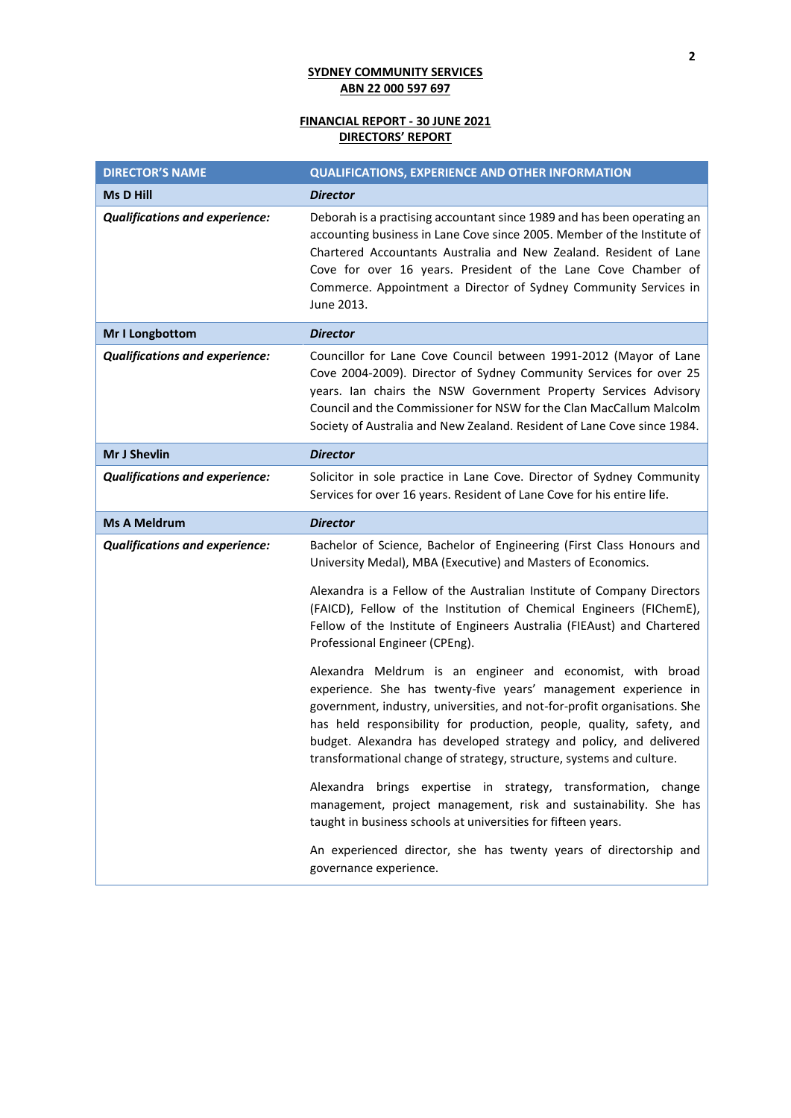# **FINANCIAL REPORT - 30 JUNE 2021 DIRECTORS' REPORT**

| <b>DIRECTOR'S NAME</b>                | <b>QUALIFICATIONS, EXPERIENCE AND OTHER INFORMATION</b>                                                                                                                                                                                                                                                                                                                                                                          |
|---------------------------------------|----------------------------------------------------------------------------------------------------------------------------------------------------------------------------------------------------------------------------------------------------------------------------------------------------------------------------------------------------------------------------------------------------------------------------------|
| <b>Ms D Hill</b>                      | <b>Director</b>                                                                                                                                                                                                                                                                                                                                                                                                                  |
| <b>Qualifications and experience:</b> | Deborah is a practising accountant since 1989 and has been operating an<br>accounting business in Lane Cove since 2005. Member of the Institute of<br>Chartered Accountants Australia and New Zealand. Resident of Lane<br>Cove for over 16 years. President of the Lane Cove Chamber of<br>Commerce. Appointment a Director of Sydney Community Services in<br>June 2013.                                                       |
| Mr I Longbottom                       | <b>Director</b>                                                                                                                                                                                                                                                                                                                                                                                                                  |
| <b>Qualifications and experience:</b> | Councillor for Lane Cove Council between 1991-2012 (Mayor of Lane<br>Cove 2004-2009). Director of Sydney Community Services for over 25<br>years. Ian chairs the NSW Government Property Services Advisory<br>Council and the Commissioner for NSW for the Clan MacCallum Malcolm<br>Society of Australia and New Zealand. Resident of Lane Cove since 1984.                                                                     |
| Mr J Shevlin                          | <b>Director</b>                                                                                                                                                                                                                                                                                                                                                                                                                  |
| <b>Qualifications and experience:</b> | Solicitor in sole practice in Lane Cove. Director of Sydney Community<br>Services for over 16 years. Resident of Lane Cove for his entire life.                                                                                                                                                                                                                                                                                  |
| <b>Ms A Meldrum</b>                   | <b>Director</b>                                                                                                                                                                                                                                                                                                                                                                                                                  |
| <b>Qualifications and experience:</b> | Bachelor of Science, Bachelor of Engineering (First Class Honours and<br>University Medal), MBA (Executive) and Masters of Economics.                                                                                                                                                                                                                                                                                            |
|                                       | Alexandra is a Fellow of the Australian Institute of Company Directors<br>(FAICD), Fellow of the Institution of Chemical Engineers (FIChemE),<br>Fellow of the Institute of Engineers Australia (FIEAust) and Chartered<br>Professional Engineer (CPEng).                                                                                                                                                                        |
|                                       | Alexandra Meldrum is an engineer and economist, with broad<br>experience. She has twenty-five years' management experience in<br>government, industry, universities, and not-for-profit organisations. She<br>has held responsibility for production, people, quality, safety, and<br>budget. Alexandra has developed strategy and policy, and delivered<br>transformational change of strategy, structure, systems and culture. |
|                                       | Alexandra brings expertise in strategy, transformation, change<br>management, project management, risk and sustainability. She has<br>taught in business schools at universities for fifteen years.                                                                                                                                                                                                                              |
|                                       | An experienced director, she has twenty years of directorship and<br>governance experience.                                                                                                                                                                                                                                                                                                                                      |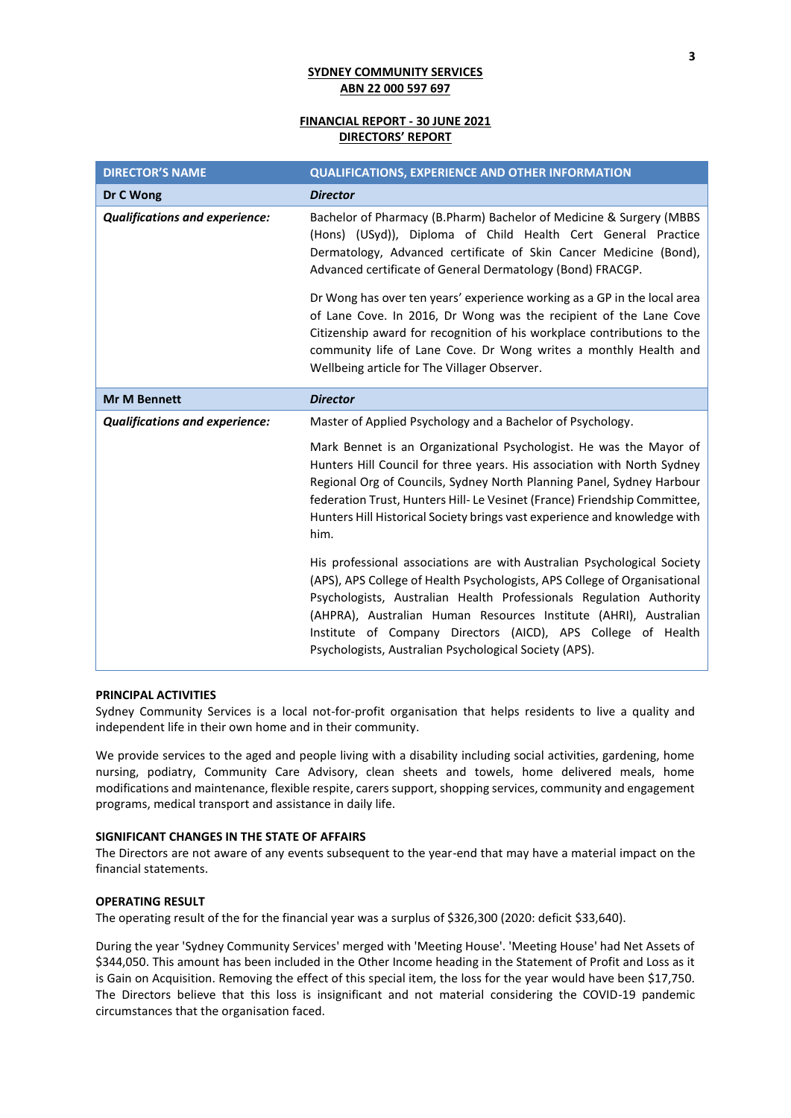## **FINANCIAL REPORT - 30 JUNE 2021 DIRECTORS' REPORT**

| <b>DIRECTOR'S NAME</b>                | <b>QUALIFICATIONS, EXPERIENCE AND OTHER INFORMATION</b>                                                                                                                                                                                                                                                                                                                                                                   |
|---------------------------------------|---------------------------------------------------------------------------------------------------------------------------------------------------------------------------------------------------------------------------------------------------------------------------------------------------------------------------------------------------------------------------------------------------------------------------|
| Dr C Wong                             | <b>Director</b>                                                                                                                                                                                                                                                                                                                                                                                                           |
| <b>Qualifications and experience:</b> | Bachelor of Pharmacy (B.Pharm) Bachelor of Medicine & Surgery (MBBS<br>(Hons) (USyd)), Diploma of Child Health Cert General Practice<br>Dermatology, Advanced certificate of Skin Cancer Medicine (Bond),<br>Advanced certificate of General Dermatology (Bond) FRACGP.                                                                                                                                                   |
|                                       | Dr Wong has over ten years' experience working as a GP in the local area<br>of Lane Cove. In 2016, Dr Wong was the recipient of the Lane Cove<br>Citizenship award for recognition of his workplace contributions to the<br>community life of Lane Cove. Dr Wong writes a monthly Health and<br>Wellbeing article for The Villager Observer.                                                                              |
| <b>Mr M Bennett</b>                   | <b>Director</b>                                                                                                                                                                                                                                                                                                                                                                                                           |
| <b>Qualifications and experience:</b> | Master of Applied Psychology and a Bachelor of Psychology.                                                                                                                                                                                                                                                                                                                                                                |
|                                       | Mark Bennet is an Organizational Psychologist. He was the Mayor of<br>Hunters Hill Council for three years. His association with North Sydney<br>Regional Org of Councils, Sydney North Planning Panel, Sydney Harbour<br>federation Trust, Hunters Hill- Le Vesinet (France) Friendship Committee,<br>Hunters Hill Historical Society brings vast experience and knowledge with<br>him.                                  |
|                                       | His professional associations are with Australian Psychological Society<br>(APS), APS College of Health Psychologists, APS College of Organisational<br>Psychologists, Australian Health Professionals Regulation Authority<br>(AHPRA), Australian Human Resources Institute (AHRI), Australian<br>Institute of Company Directors (AICD), APS College of Health<br>Psychologists, Australian Psychological Society (APS). |

## **PRINCIPAL ACTIVITIES**

Sydney Community Services is a local not-for-profit organisation that helps residents to live a quality and independent life in their own home and in their community.

We provide services to the aged and people living with a disability including social activities, gardening, home nursing, podiatry, Community Care Advisory, clean sheets and towels, home delivered meals, home modifications and maintenance, flexible respite, carers support, shopping services, community and engagement programs, medical transport and assistance in daily life.

## **SIGNIFICANT CHANGES IN THE STATE OF AFFAIRS**

The Directors are not aware of any events subsequent to the year-end that may have a material impact on the financial statements.

#### **OPERATING RESULT**

The operating result of the for the financial year was a surplus of \$326,300 (2020: deficit \$33,640).

During the year 'Sydney Community Services' merged with 'Meeting House'. 'Meeting House' had Net Assets of \$344,050. This amount has been included in the Other Income heading in the Statement of Profit and Loss as it is Gain on Acquisition. Removing the effect of this special item, the loss for the year would have been \$17,750. The Directors believe that this loss is insignificant and not material considering the COVID-19 pandemic circumstances that the organisation faced.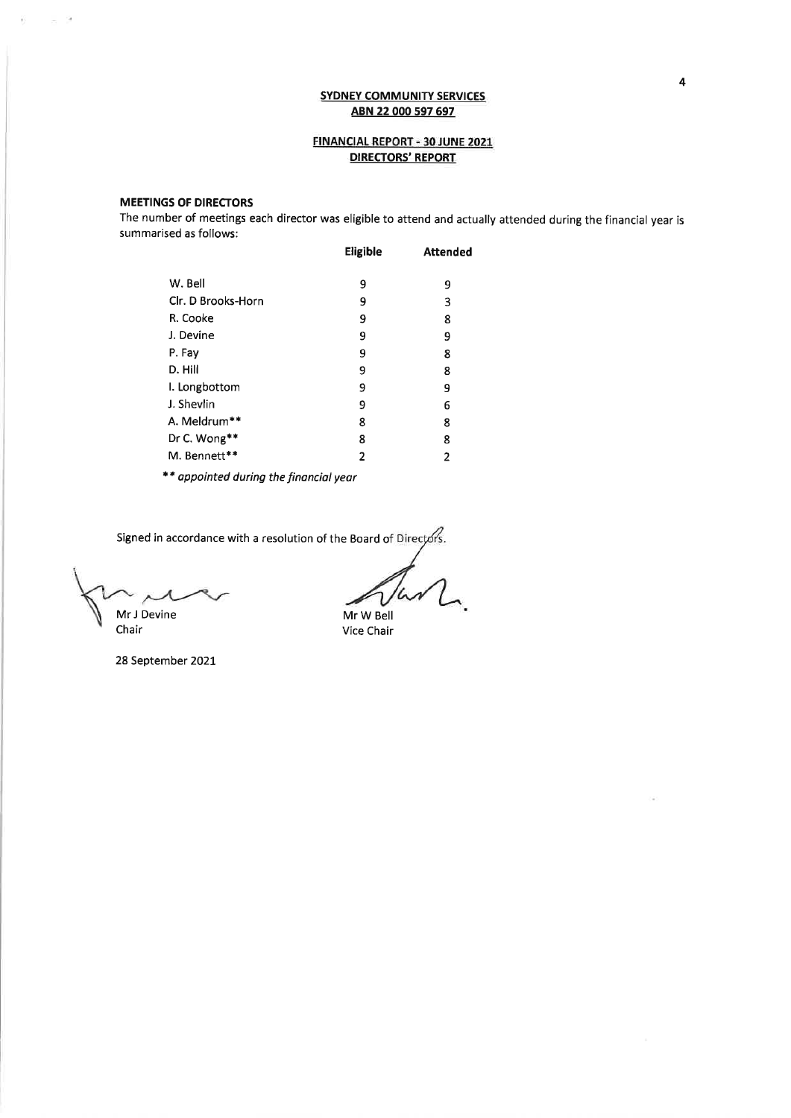# FINANCIAL REPORT - 30 JUNE 2021 **DIRECTORS' REPORT**

## **MEETINGS OF DIRECTORS**

 $\sim$  9

 $\widetilde{\mathcal{D}}$ 

The number of meetings each director was eligible to attend and actually attended during the financial year is summarised as follows:

|                    | Eligible | <b>Attended</b> |
|--------------------|----------|-----------------|
| W. Bell            | 9        | 9               |
| Clr. D Brooks-Horn | 9        | 3               |
| R. Cooke           | 9        | 8               |
| J. Devine          | 9        | 9               |
| P. Fay             | 9        | 8               |
| D. Hill            | 9        | 8               |
| I. Longbottom      | 9        | 9               |
| J. Shevlin         | 9        | 6               |
| A. Meldrum**       | 8        | 8               |
| Dr C. Wong**       | 8        | 8               |
| M. Bennett**       | 2        | 2               |
|                    |          |                 |

\*\* appointed during the financial year

Signed in accordance with a resolution of the Board of Directors.

Mr J Devine

Chair

28 September 2021

Mr W Bell Vice Chair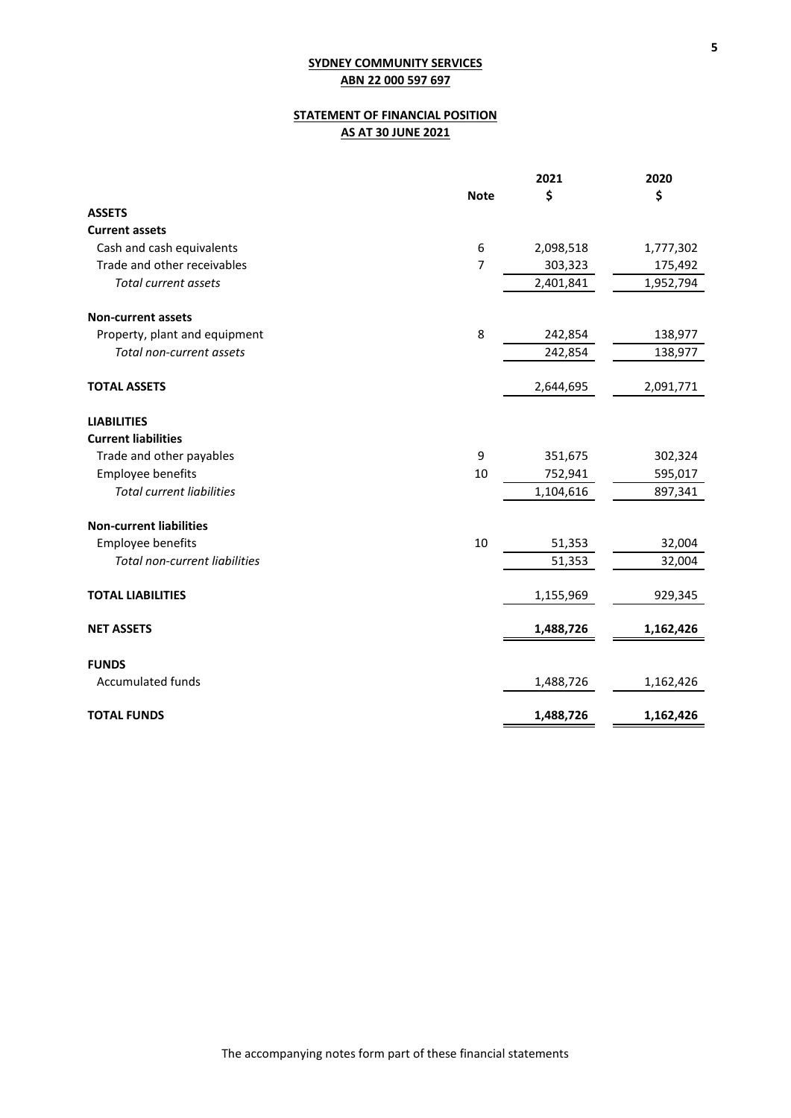# **STATEMENT OF FINANCIAL POSITION AS AT 30 JUNE 2021**

|                                  |             | 2021      | 2020      |
|----------------------------------|-------------|-----------|-----------|
|                                  | <b>Note</b> | \$        | \$        |
| <b>ASSETS</b>                    |             |           |           |
| <b>Current assets</b>            |             |           |           |
| Cash and cash equivalents        | 6           | 2,098,518 | 1,777,302 |
| Trade and other receivables      | 7           | 303,323   | 175,492   |
| <b>Total current assets</b>      |             | 2,401,841 | 1,952,794 |
| <b>Non-current assets</b>        |             |           |           |
| Property, plant and equipment    | 8           | 242,854   | 138,977   |
| Total non-current assets         |             | 242,854   | 138,977   |
| <b>TOTAL ASSETS</b>              |             | 2,644,695 | 2,091,771 |
| <b>LIABILITIES</b>               |             |           |           |
| <b>Current liabilities</b>       |             |           |           |
| Trade and other payables         | 9           | 351,675   | 302,324   |
| Employee benefits                | 10          | 752,941   | 595,017   |
| <b>Total current liabilities</b> |             | 1,104,616 | 897,341   |
| <b>Non-current liabilities</b>   |             |           |           |
| Employee benefits                | 10          | 51,353    | 32,004    |
| Total non-current liabilities    |             | 51,353    | 32,004    |
| <b>TOTAL LIABILITIES</b>         |             | 1,155,969 | 929,345   |
| <b>NET ASSETS</b>                |             | 1,488,726 | 1,162,426 |
| <b>FUNDS</b>                     |             |           |           |
| <b>Accumulated funds</b>         |             | 1,488,726 | 1,162,426 |
| <b>TOTAL FUNDS</b>               |             | 1,488,726 | 1,162,426 |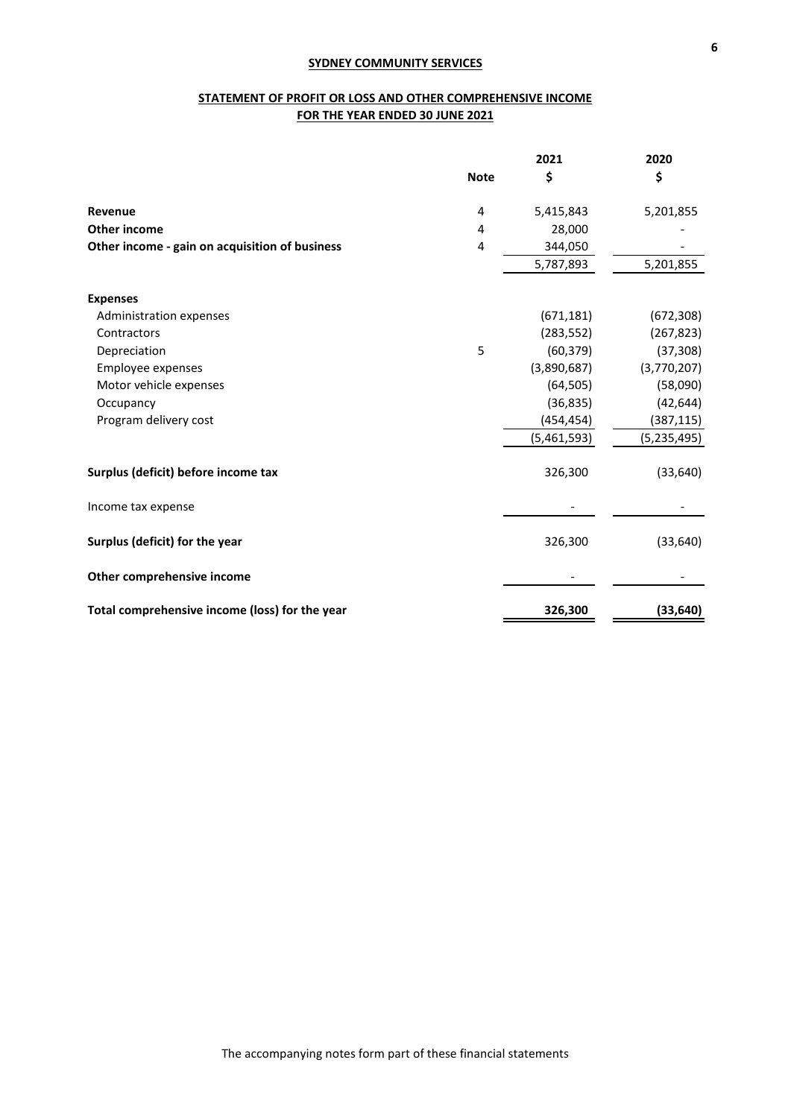# **STATEMENT OF PROFIT OR LOSS AND OTHER COMPREHENSIVE INCOME FOR THE YEAR ENDED 30 JUNE 2021**

|                                                |             | 2021        | 2020          |
|------------------------------------------------|-------------|-------------|---------------|
|                                                | <b>Note</b> | \$          | \$            |
| Revenue                                        | 4           | 5,415,843   | 5,201,855     |
| <b>Other income</b>                            | 4           | 28,000      |               |
| Other income - gain on acquisition of business | 4           | 344,050     |               |
|                                                |             | 5,787,893   | 5,201,855     |
| <b>Expenses</b>                                |             |             |               |
| Administration expenses                        |             | (671, 181)  | (672, 308)    |
| Contractors                                    |             | (283, 552)  | (267, 823)    |
| Depreciation                                   | 5           | (60, 379)   | (37, 308)     |
| Employee expenses                              |             | (3,890,687) | (3,770,207)   |
| Motor vehicle expenses                         |             | (64, 505)   | (58,090)      |
| Occupancy                                      |             | (36, 835)   | (42, 644)     |
| Program delivery cost                          |             | (454, 454)  | (387, 115)    |
|                                                |             | (5,461,593) | (5, 235, 495) |
| Surplus (deficit) before income tax            |             | 326,300     | (33, 640)     |
| Income tax expense                             |             |             |               |
| Surplus (deficit) for the year                 |             | 326,300     | (33, 640)     |
| Other comprehensive income                     |             |             |               |
| Total comprehensive income (loss) for the year |             | 326,300     | (33, 640)     |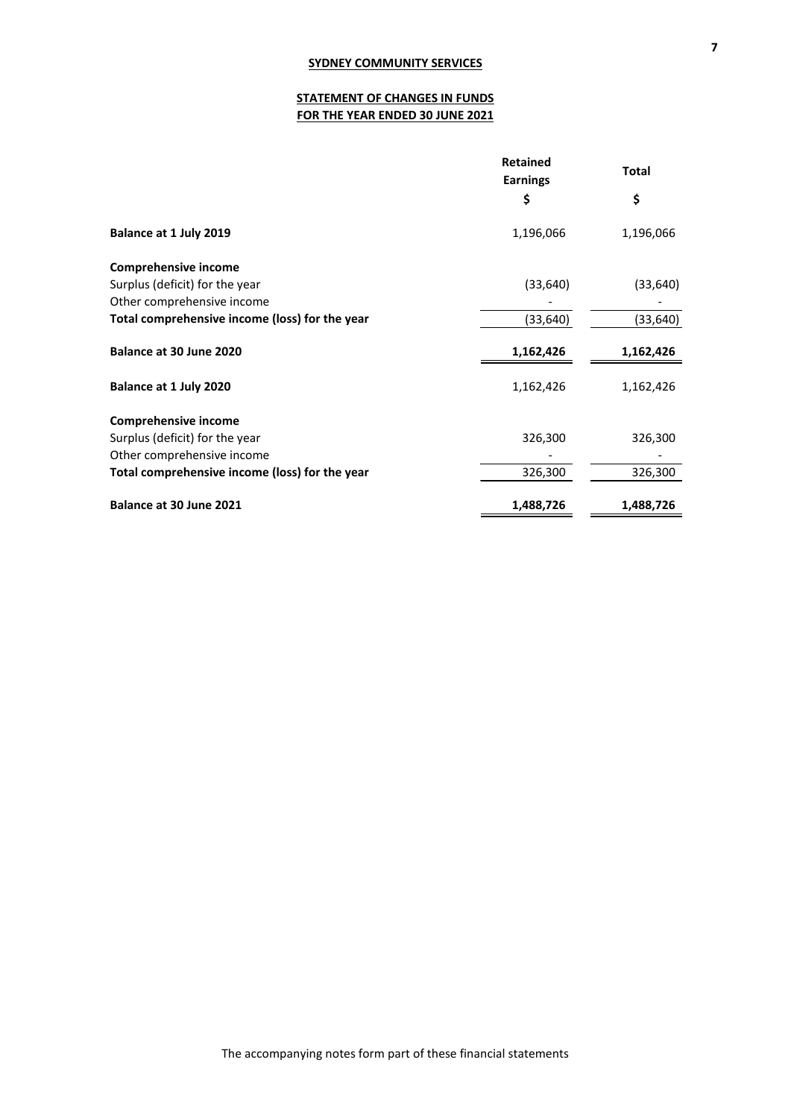# **STATEMENT OF CHANGES IN FUNDS FOR THE YEAR ENDED 30 JUNE 2021**

|                                                | <b>Retained</b><br><b>Earnings</b> | <b>Total</b> |
|------------------------------------------------|------------------------------------|--------------|
|                                                | \$                                 | \$           |
| Balance at 1 July 2019                         | 1,196,066                          | 1,196,066    |
| <b>Comprehensive income</b>                    |                                    |              |
| Surplus (deficit) for the year                 | (33, 640)                          | (33, 640)    |
| Other comprehensive income                     |                                    |              |
| Total comprehensive income (loss) for the year | (33, 640)                          | (33, 640)    |
| Balance at 30 June 2020                        | 1,162,426                          | 1,162,426    |
| Balance at 1 July 2020                         | 1,162,426                          | 1,162,426    |
| <b>Comprehensive income</b>                    |                                    |              |
| Surplus (deficit) for the year                 | 326,300                            | 326,300      |
| Other comprehensive income                     |                                    |              |
| Total comprehensive income (loss) for the year | 326,300                            | 326,300      |
| Balance at 30 June 2021                        | 1,488,726                          | 1,488,726    |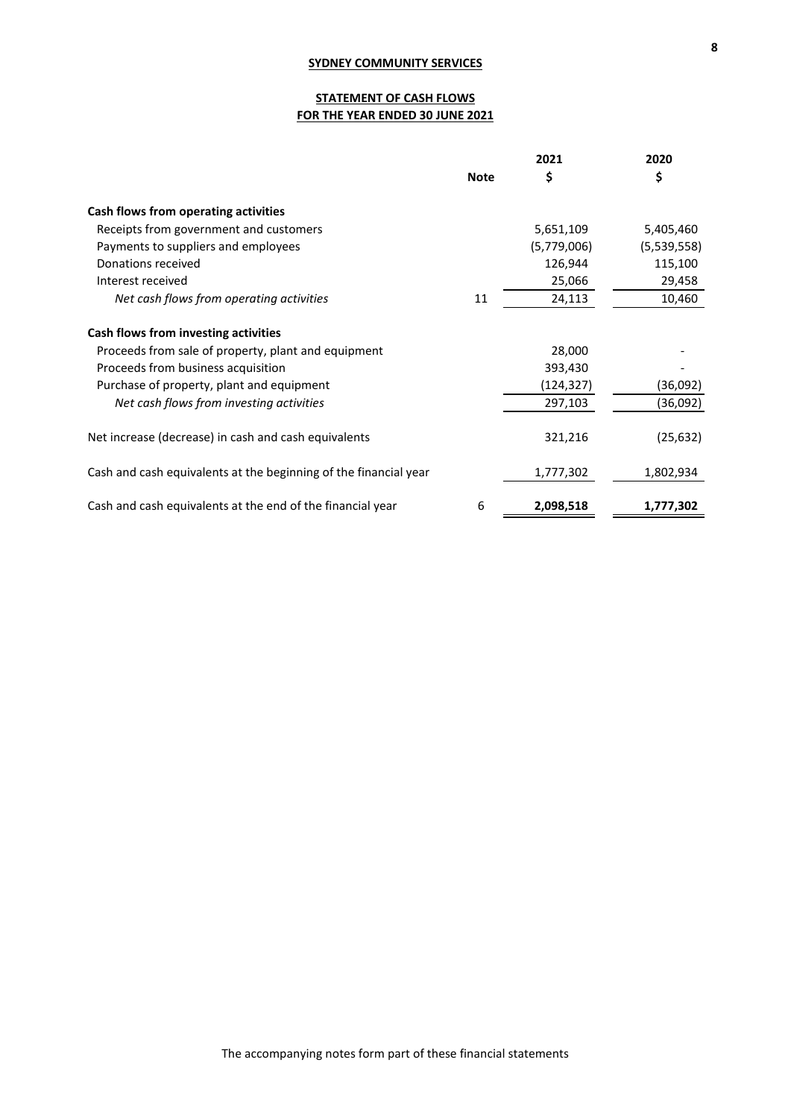# **STATEMENT OF CASH FLOWS FOR THE YEAR ENDED 30 JUNE 2021**

|                                                                  |             | 2021        | 2020        |
|------------------------------------------------------------------|-------------|-------------|-------------|
|                                                                  | <b>Note</b> | \$          | \$          |
| Cash flows from operating activities                             |             |             |             |
| Receipts from government and customers                           |             | 5,651,109   | 5,405,460   |
| Payments to suppliers and employees                              |             | (5,779,006) | (5,539,558) |
| Donations received                                               |             | 126,944     | 115,100     |
| Interest received                                                |             | 25,066      | 29,458      |
| Net cash flows from operating activities                         | 11          | 24,113      | 10,460      |
| Cash flows from investing activities                             |             |             |             |
| Proceeds from sale of property, plant and equipment              |             | 28,000      |             |
| Proceeds from business acquisition                               |             | 393,430     |             |
| Purchase of property, plant and equipment                        |             | (124,327)   | (36,092)    |
| Net cash flows from investing activities                         |             | 297,103     | (36,092)    |
| Net increase (decrease) in cash and cash equivalents             |             | 321,216     | (25, 632)   |
| Cash and cash equivalents at the beginning of the financial year |             | 1,777,302   | 1,802,934   |
| Cash and cash equivalents at the end of the financial year       | 6           | 2,098,518   | 1,777,302   |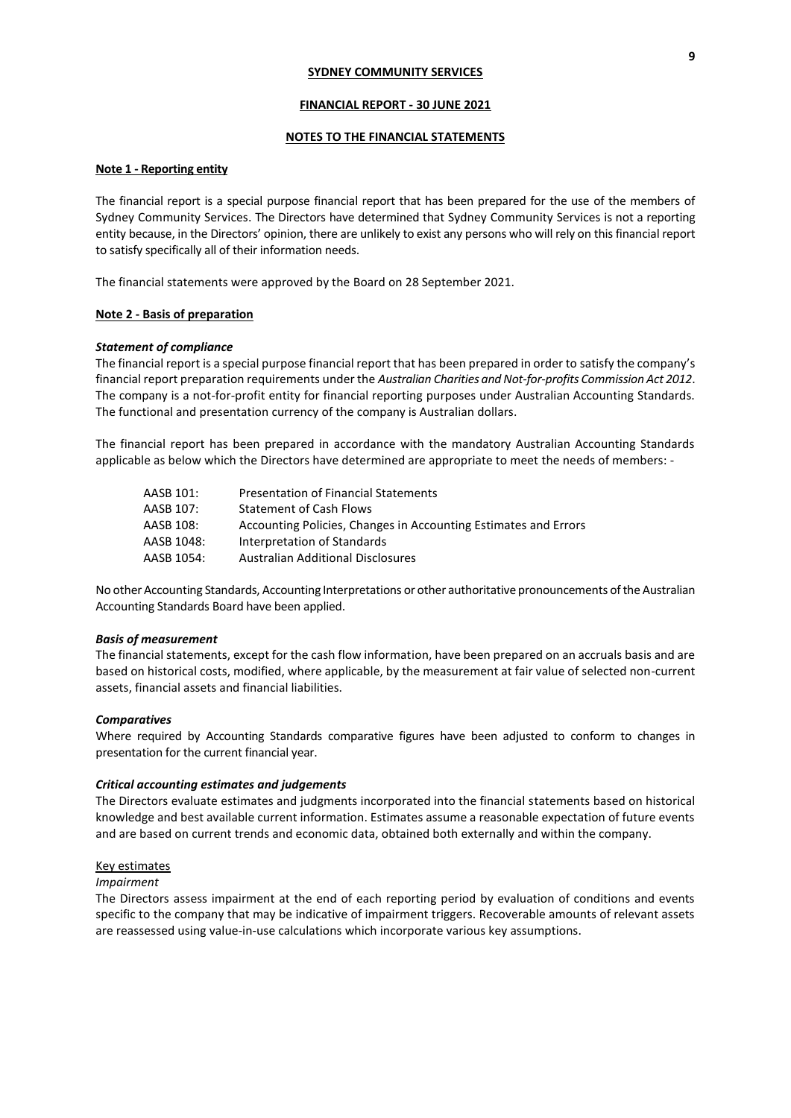#### **FINANCIAL REPORT - 30 JUNE 2021**

## **NOTES TO THE FINANCIAL STATEMENTS**

## **Note 1 - Reporting entity**

The financial report is a special purpose financial report that has been prepared for the use of the members of Sydney Community Services. The Directors have determined that Sydney Community Services is not a reporting entity because, in the Directors' opinion, there are unlikely to exist any persons who will rely on this financial report to satisfy specifically all of their information needs.

The financial statements were approved by the Board on 28 September 2021.

## **Note 2 - Basis of preparation**

### *Statement of compliance*

The financial report is a special purpose financial report that has been prepared in order to satisfy the company's financial report preparation requirements under the *Australian Charities and Not-for-profits Commission Act 2012*. The company is a not-for-profit entity for financial reporting purposes under Australian Accounting Standards. The functional and presentation currency of the company is Australian dollars.

The financial report has been prepared in accordance with the mandatory Australian Accounting Standards applicable as below which the Directors have determined are appropriate to meet the needs of members: -

| AASB 101:  | <b>Presentation of Financial Statements</b>                     |
|------------|-----------------------------------------------------------------|
| AASB 107:  | <b>Statement of Cash Flows</b>                                  |
| AASB 108:  | Accounting Policies, Changes in Accounting Estimates and Errors |
| AASB 1048: | Interpretation of Standards                                     |
| AASB 1054: | Australian Additional Disclosures                               |

No other Accounting Standards, Accounting Interpretations or other authoritative pronouncements of the Australian Accounting Standards Board have been applied.

#### *Basis of measurement*

The financial statements, except for the cash flow information, have been prepared on an accruals basis and are based on historical costs, modified, where applicable, by the measurement at fair value of selected non-current assets, financial assets and financial liabilities.

#### *Comparatives*

Where required by Accounting Standards comparative figures have been adjusted to conform to changes in presentation for the current financial year.

#### *Critical accounting estimates and judgements*

The Directors evaluate estimates and judgments incorporated into the financial statements based on historical knowledge and best available current information. Estimates assume a reasonable expectation of future events and are based on current trends and economic data, obtained both externally and within the company.

#### Key estimates

#### *Impairment*

The Directors assess impairment at the end of each reporting period by evaluation of conditions and events specific to the company that may be indicative of impairment triggers. Recoverable amounts of relevant assets are reassessed using value-in-use calculations which incorporate various key assumptions.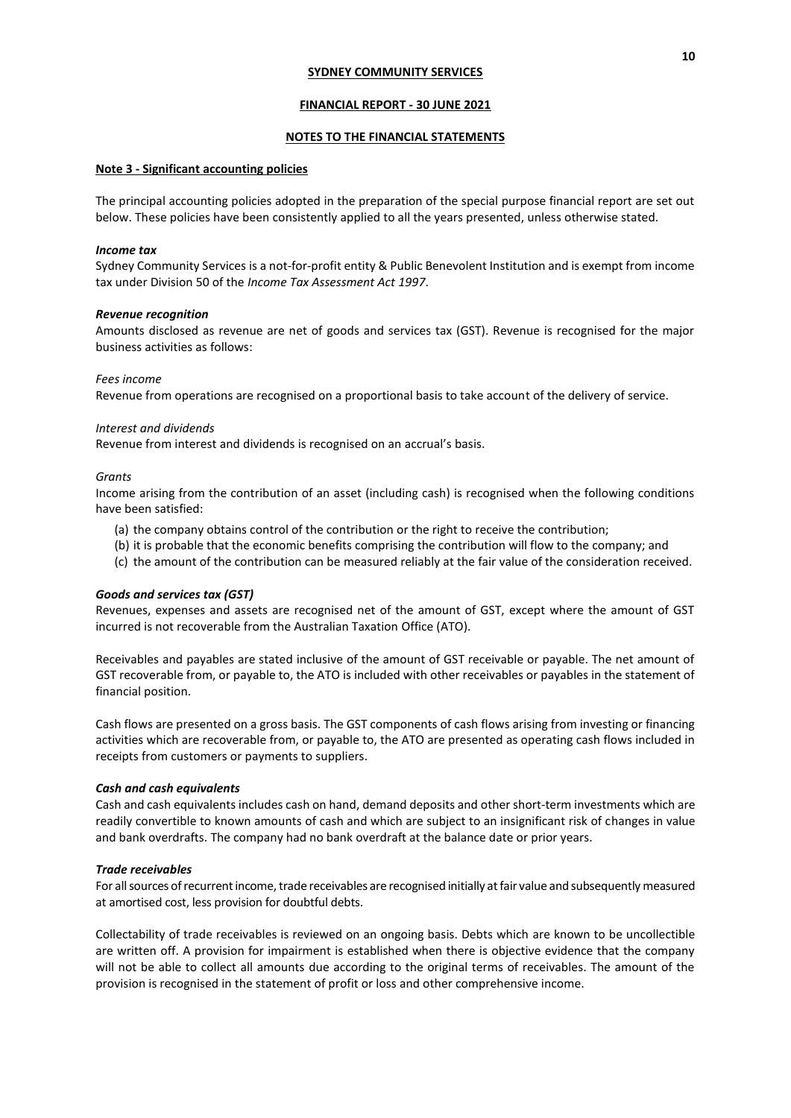### **FINANCIAL REPORT - 30 JUNE 2021**

## **NOTES TO THE FINANCIAL STATEMENTS**

#### **Note 3 - Significant accounting policies**

The principal accounting policies adopted in the preparation of the special purpose financial report are set out below. These policies have been consistently applied to all the years presented, unless otherwise stated.

#### *Income tax*

Sydney Community Services is a not-for-profit entity & Public Benevolent Institution and is exempt from income tax under Division 50 of the *Income Tax Assessment Act 1997*.

#### *Revenue recognition*

Amounts disclosed as revenue are net of goods and services tax (GST). Revenue is recognised for the major business activities as follows:

#### *Fees income*

Revenue from operations are recognised on a proportional basis to take account of the delivery of service.

### *Interest and dividends*

Revenue from interest and dividends is recognised on an accrual's basis.

#### *Grants*

Income arising from the contribution of an asset (including cash) is recognised when the following conditions have been satisfied:

- (a) the company obtains control of the contribution or the right to receive the contribution;
- (b) it is probable that the economic benefits comprising the contribution will flow to the company; and
- (c) the amount of the contribution can be measured reliably at the fair value of the consideration received.

## *Goods and services tax (GST)*

Revenues, expenses and assets are recognised net of the amount of GST, except where the amount of GST incurred is not recoverable from the Australian Taxation Office (ATO).

Receivables and payables are stated inclusive of the amount of GST receivable or payable. The net amount of GST recoverable from, or payable to, the ATO is included with other receivables or payables in the statement of financial position.

Cash flows are presented on a gross basis. The GST components of cash flows arising from investing or financing activities which are recoverable from, or payable to, the ATO are presented as operating cash flows included in receipts from customers or payments to suppliers.

#### *Cash and cash equivalents*

Cash and cash equivalents includes cash on hand, demand deposits and other short-term investments which are readily convertible to known amounts of cash and which are subject to an insignificant risk of changes in value and bank overdrafts. The company had no bank overdraft at the balance date or prior years.

## *Trade receivables*

For all sources of recurrent income, trade receivables are recognised initially at fair value and subsequently measured at amortised cost, less provision for doubtful debts.

Collectability of trade receivables is reviewed on an ongoing basis. Debts which are known to be uncollectible are written off. A provision for impairment is established when there is objective evidence that the company will not be able to collect all amounts due according to the original terms of receivables. The amount of the provision is recognised in the statement of profit or loss and other comprehensive income.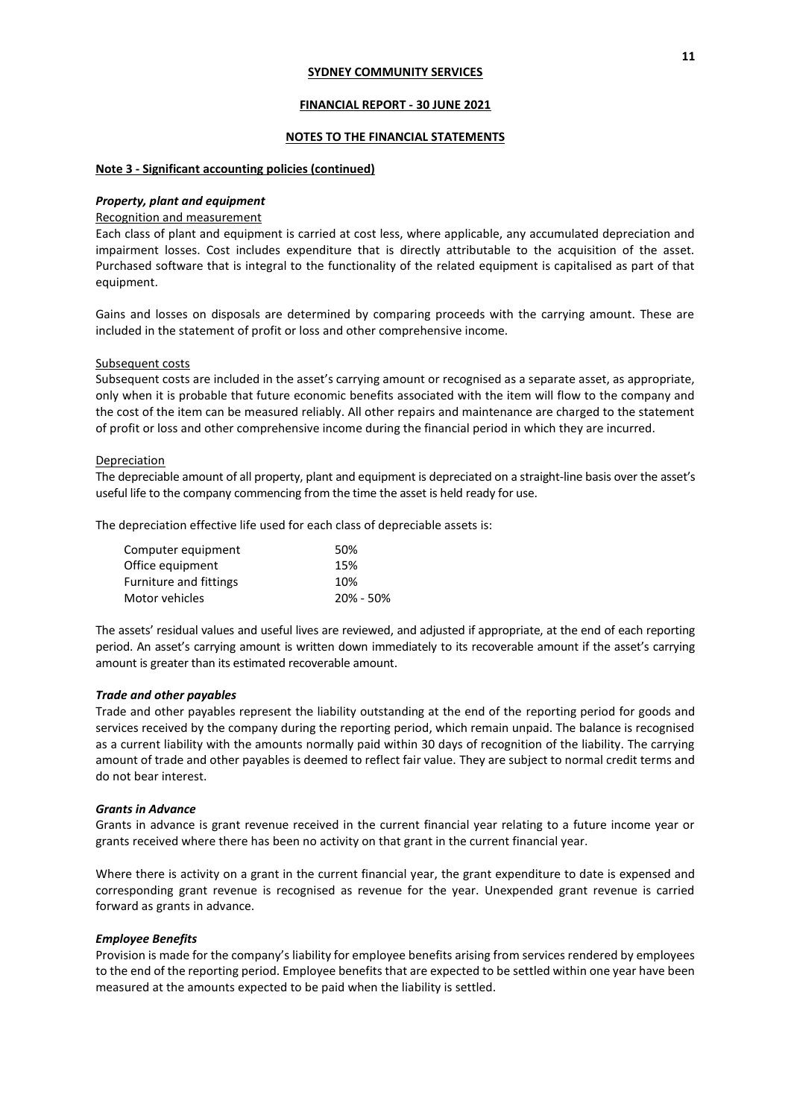### **FINANCIAL REPORT - 30 JUNE 2021**

## **NOTES TO THE FINANCIAL STATEMENTS**

## **Note 3 - Significant accounting policies (continued)**

#### *Property, plant and equipment*

### Recognition and measurement

Each class of plant and equipment is carried at cost less, where applicable, any accumulated depreciation and impairment losses. Cost includes expenditure that is directly attributable to the acquisition of the asset. Purchased software that is integral to the functionality of the related equipment is capitalised as part of that equipment.

Gains and losses on disposals are determined by comparing proceeds with the carrying amount. These are included in the statement of profit or loss and other comprehensive income.

#### Subsequent costs

Subsequent costs are included in the asset's carrying amount or recognised as a separate asset, as appropriate, only when it is probable that future economic benefits associated with the item will flow to the company and the cost of the item can be measured reliably. All other repairs and maintenance are charged to the statement of profit or loss and other comprehensive income during the financial period in which they are incurred.

#### Depreciation

The depreciable amount of all property, plant and equipment is depreciated on a straight-line basis over the asset's useful life to the company commencing from the time the asset is held ready for use.

The depreciation effective life used for each class of depreciable assets is:

| Computer equipment            | 50%       |
|-------------------------------|-----------|
| Office equipment              | 15%       |
| <b>Furniture and fittings</b> | 10%       |
| Motor vehicles                | 20% - 50% |

The assets' residual values and useful lives are reviewed, and adjusted if appropriate, at the end of each reporting period. An asset's carrying amount is written down immediately to its recoverable amount if the asset's carrying amount is greater than its estimated recoverable amount.

#### *Trade and other payables*

Trade and other payables represent the liability outstanding at the end of the reporting period for goods and services received by the company during the reporting period, which remain unpaid. The balance is recognised as a current liability with the amounts normally paid within 30 days of recognition of the liability. The carrying amount of trade and other payables is deemed to reflect fair value. They are subject to normal credit terms and do not bear interest.

#### *Grants in Advance*

Grants in advance is grant revenue received in the current financial year relating to a future income year or grants received where there has been no activity on that grant in the current financial year.

Where there is activity on a grant in the current financial year, the grant expenditure to date is expensed and corresponding grant revenue is recognised as revenue for the year. Unexpended grant revenue is carried forward as grants in advance.

#### *Employee Benefits*

Provision is made for the company's liability for employee benefits arising from services rendered by employees to the end of the reporting period. Employee benefits that are expected to be settled within one year have been measured at the amounts expected to be paid when the liability is settled.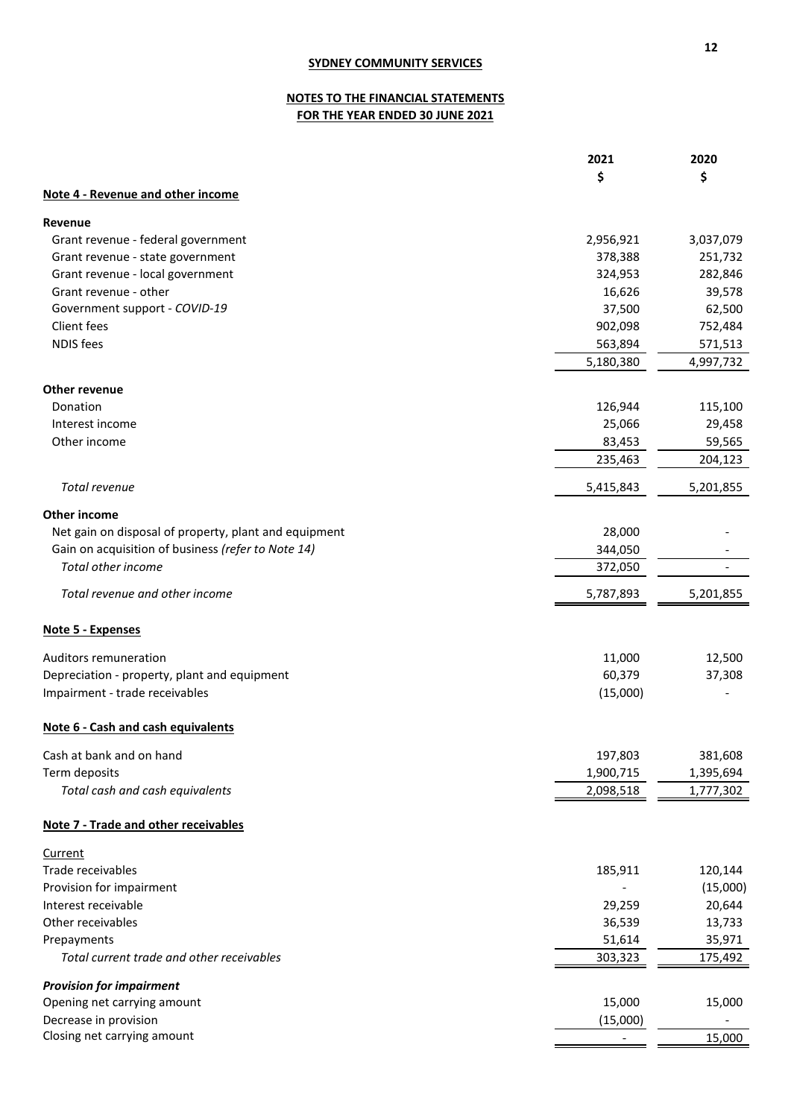# **NOTES TO THE FINANCIAL STATEMENTS FOR THE YEAR ENDED 30 JUNE 2021**

|                                                       | 2021                   | 2020                   |
|-------------------------------------------------------|------------------------|------------------------|
|                                                       | \$                     | \$                     |
| Note 4 - Revenue and other income                     |                        |                        |
| Revenue                                               |                        |                        |
| Grant revenue - federal government                    | 2,956,921              | 3,037,079              |
| Grant revenue - state government                      | 378,388                | 251,732                |
| Grant revenue - local government                      | 324,953                | 282,846                |
| Grant revenue - other                                 | 16,626                 | 39,578                 |
| Government support - COVID-19                         | 37,500                 | 62,500                 |
| Client fees                                           | 902,098                | 752,484                |
| <b>NDIS</b> fees                                      | 563,894                | 571,513                |
|                                                       | 5,180,380              | 4,997,732              |
| Other revenue                                         |                        |                        |
| Donation                                              | 126,944                | 115,100                |
| Interest income                                       | 25,066                 | 29,458                 |
| Other income                                          | 83,453                 | 59,565                 |
|                                                       | 235,463                | 204,123                |
| Total revenue                                         | 5,415,843              | 5,201,855              |
| Other income                                          |                        |                        |
| Net gain on disposal of property, plant and equipment | 28,000                 |                        |
| Gain on acquisition of business (refer to Note 14)    | 344,050                |                        |
| <b>Total other income</b>                             | 372,050                |                        |
| Total revenue and other income                        | 5,787,893              | 5,201,855              |
| Note 5 - Expenses                                     |                        |                        |
| Auditors remuneration                                 | 11,000                 | 12,500                 |
| Depreciation - property, plant and equipment          | 60,379                 | 37,308                 |
| Impairment - trade receivables                        | (15,000)               |                        |
| Note 6 - Cash and cash equivalents                    |                        |                        |
|                                                       |                        |                        |
| Cash at bank and on hand                              | 197,803                | 381,608                |
| Term deposits<br>Total cash and cash equivalents      | 1,900,715<br>2,098,518 | 1,395,694<br>1,777,302 |
|                                                       |                        |                        |
| Note 7 - Trade and other receivables                  |                        |                        |
| <b>Current</b>                                        |                        |                        |
| Trade receivables                                     | 185,911                | 120,144                |
| Provision for impairment                              |                        | (15,000)               |
| Interest receivable                                   | 29,259                 | 20,644                 |
| Other receivables                                     | 36,539                 | 13,733                 |
| Prepayments                                           | 51,614                 | 35,971                 |
| Total current trade and other receivables             | 303,323                | 175,492                |
| <b>Provision for impairment</b>                       |                        |                        |
| Opening net carrying amount                           | 15,000                 | 15,000                 |
| Decrease in provision                                 | (15,000)               |                        |
| Closing net carrying amount                           |                        | 15,000                 |
|                                                       |                        |                        |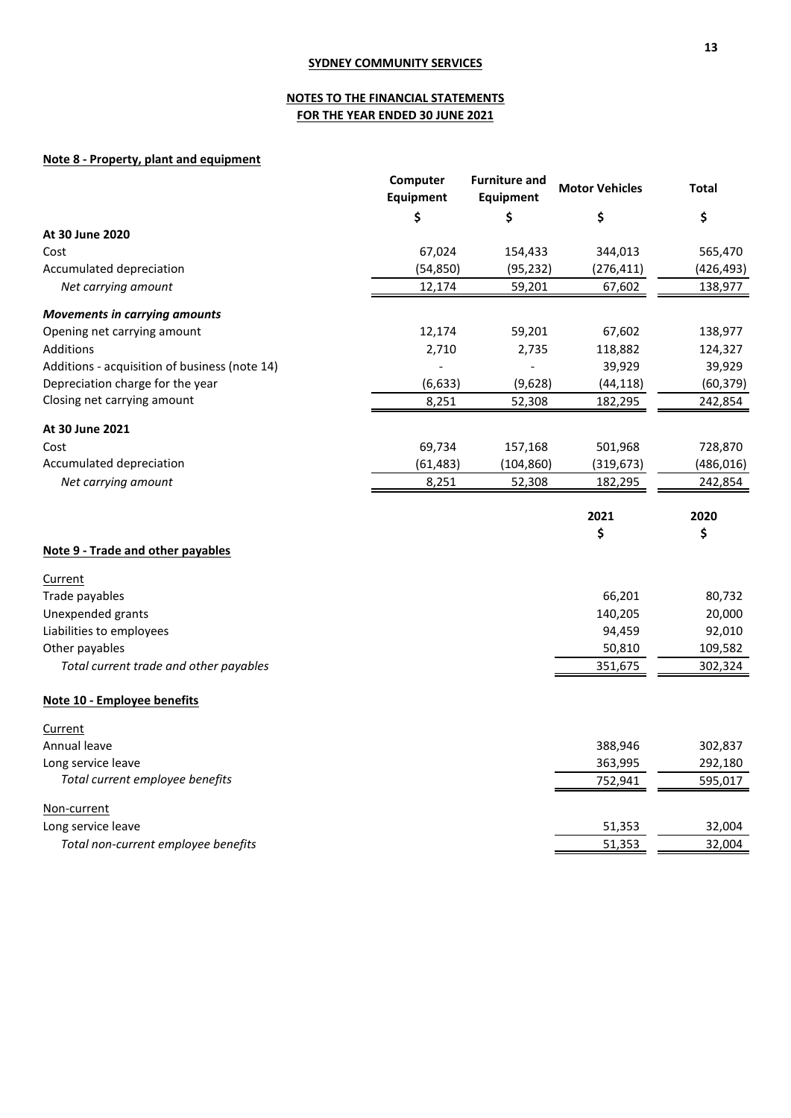# **NOTES TO THE FINANCIAL STATEMENTS FOR THE YEAR ENDED 30 JUNE 2021**

# **Note 8 - Property, plant and equipment**

|                                               | Computer<br>Equipment | <b>Furniture and</b><br><b>Equipment</b> | <b>Motor Vehicles</b> | <b>Total</b> |
|-----------------------------------------------|-----------------------|------------------------------------------|-----------------------|--------------|
|                                               | \$                    | \$                                       | \$                    | \$           |
| At 30 June 2020                               |                       |                                          |                       |              |
| Cost                                          | 67,024                | 154,433                                  | 344,013               | 565,470      |
| Accumulated depreciation                      | (54, 850)             | (95, 232)                                | (276, 411)            | (426, 493)   |
| Net carrying amount                           | 12,174                | 59,201                                   | 67,602                | 138,977      |
| <b>Movements in carrying amounts</b>          |                       |                                          |                       |              |
| Opening net carrying amount                   | 12,174                | 59,201                                   | 67,602                | 138,977      |
| Additions                                     | 2,710                 | 2,735                                    | 118,882               | 124,327      |
| Additions - acquisition of business (note 14) |                       |                                          | 39,929                | 39,929       |
| Depreciation charge for the year              | (6, 633)              | (9,628)                                  | (44, 118)             | (60, 379)    |
| Closing net carrying amount                   | 8,251                 | 52,308                                   | 182,295               | 242,854      |
| At 30 June 2021                               |                       |                                          |                       |              |
| Cost                                          | 69,734                | 157,168                                  | 501,968               | 728,870      |
| Accumulated depreciation                      | (61, 483)             | (104, 860)                               | (319, 673)            | (486, 016)   |
| Net carrying amount                           | 8,251                 | 52,308                                   | 182,295               | 242,854      |
|                                               |                       |                                          | 2021                  | 2020         |
|                                               |                       |                                          | \$                    | \$           |
| Note 9 - Trade and other payables             |                       |                                          |                       |              |
| Current                                       |                       |                                          |                       |              |
| Trade payables                                |                       |                                          | 66,201                | 80,732       |
| Unexpended grants                             |                       |                                          | 140,205               | 20,000       |
| Liabilities to employees                      |                       |                                          | 94,459                | 92,010       |
| Other payables                                |                       |                                          | 50,810                | 109,582      |
| Total current trade and other payables        |                       |                                          | 351,675               | 302,324      |
|                                               |                       |                                          |                       |              |
| Note 10 - Employee benefits                   |                       |                                          |                       |              |
| Current                                       |                       |                                          |                       |              |
| Annual leave                                  |                       |                                          | 388,946               | 302,837      |
| Long service leave                            |                       |                                          | 363,995               | 292,180      |
| Total current employee benefits               |                       |                                          | 752,941               | 595,017      |
| Non-current                                   |                       |                                          |                       |              |
| Long service leave                            |                       |                                          | 51,353                | 32,004       |
| Total non-current employee benefits           |                       |                                          | 51,353                | 32,004       |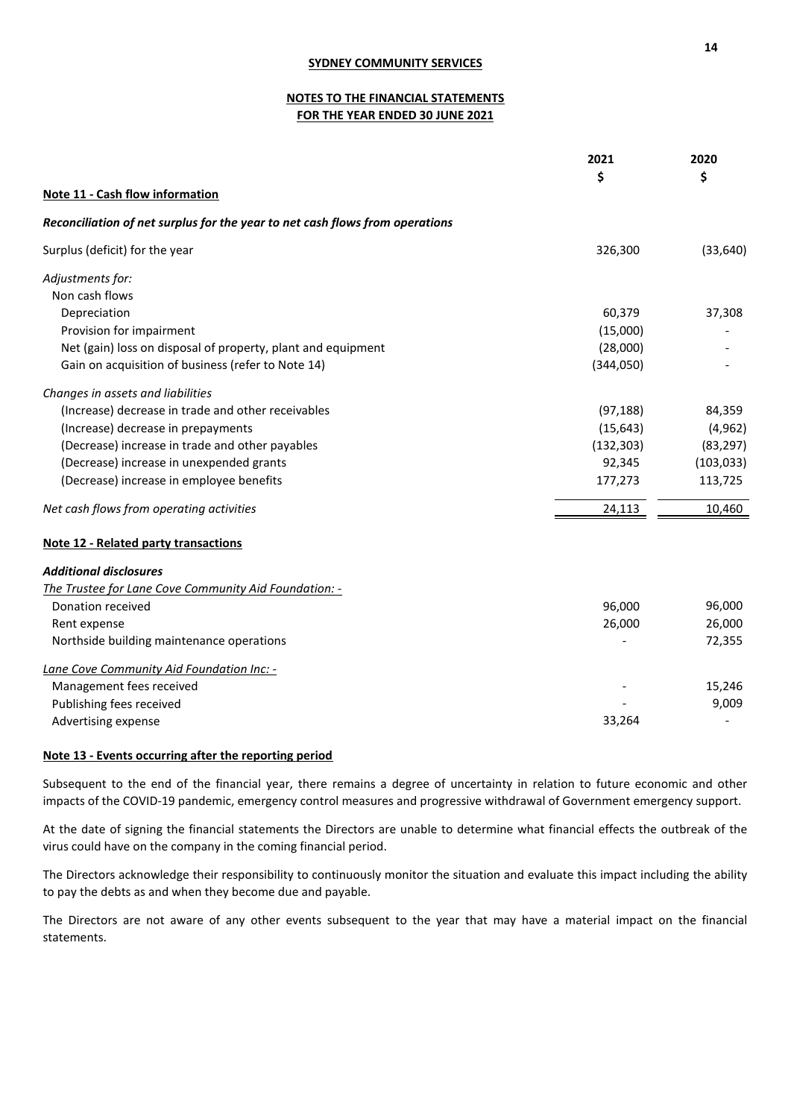# **NOTES TO THE FINANCIAL STATEMENTS FOR THE YEAR ENDED 30 JUNE 2021**

|                                                                              | 2021       | 2020       |
|------------------------------------------------------------------------------|------------|------------|
|                                                                              | \$         | \$         |
| Note 11 - Cash flow information                                              |            |            |
| Reconciliation of net surplus for the year to net cash flows from operations |            |            |
| Surplus (deficit) for the year                                               | 326,300    | (33, 640)  |
| Adjustments for:                                                             |            |            |
| Non cash flows                                                               |            |            |
| Depreciation                                                                 | 60,379     | 37,308     |
| Provision for impairment                                                     | (15,000)   |            |
| Net (gain) loss on disposal of property, plant and equipment                 | (28,000)   |            |
| Gain on acquisition of business (refer to Note 14)                           | (344,050)  |            |
| Changes in assets and liabilities                                            |            |            |
| (Increase) decrease in trade and other receivables                           | (97, 188)  | 84,359     |
| (Increase) decrease in prepayments                                           | (15, 643)  | (4, 962)   |
| (Decrease) increase in trade and other payables                              | (132, 303) | (83, 297)  |
| (Decrease) increase in unexpended grants                                     | 92,345     | (103, 033) |
| (Decrease) increase in employee benefits                                     | 177,273    | 113,725    |
| Net cash flows from operating activities                                     | 24,113     | 10,460     |
| <b>Note 12 - Related party transactions</b>                                  |            |            |
| <b>Additional disclosures</b>                                                |            |            |
| The Trustee for Lane Cove Community Aid Foundation: -                        |            |            |
| Donation received                                                            | 96,000     | 96,000     |
| Rent expense                                                                 | 26,000     | 26,000     |
| Northside building maintenance operations                                    |            | 72,355     |
| Lane Cove Community Aid Foundation Inc: -                                    |            |            |
| Management fees received                                                     |            | 15,246     |
| Publishing fees received                                                     |            | 9,009      |
| Advertising expense                                                          | 33,264     |            |

# **Note 13 - Events occurring after the reporting period**

Subsequent to the end of the financial year, there remains a degree of uncertainty in relation to future economic and other impacts of the COVID-19 pandemic, emergency control measures and progressive withdrawal of Government emergency support.

At the date of signing the financial statements the Directors are unable to determine what financial effects the outbreak of the virus could have on the company in the coming financial period.

The Directors acknowledge their responsibility to continuously monitor the situation and evaluate this impact including the ability to pay the debts as and when they become due and payable.

The Directors are not aware of any other events subsequent to the year that may have a material impact on the financial statements.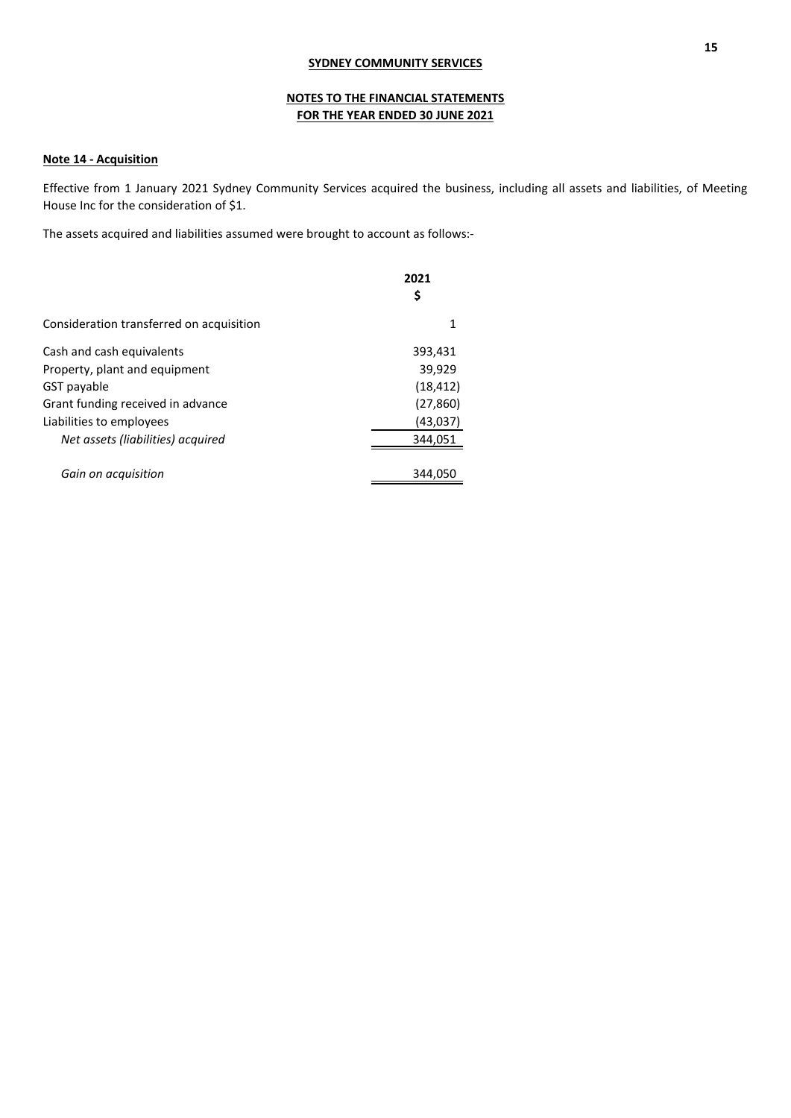# **NOTES TO THE FINANCIAL STATEMENTS FOR THE YEAR ENDED 30 JUNE 2021**

## **Note 14 - Acquisition**

Effective from 1 January 2021 Sydney Community Services acquired the business, including all assets and liabilities, of Meeting House Inc for the consideration of \$1.

The assets acquired and liabilities assumed were brought to account as follows:-

|                                          | 2021<br>Ş |
|------------------------------------------|-----------|
| Consideration transferred on acquisition | 1         |
| Cash and cash equivalents                | 393,431   |
| Property, plant and equipment            | 39,929    |
| GST payable                              | (18, 412) |
| Grant funding received in advance        | (27, 860) |
| Liabilities to employees                 | (43,037)  |
| Net assets (liabilities) acquired        | 344,051   |
| Gain on acquisition                      | 344.050   |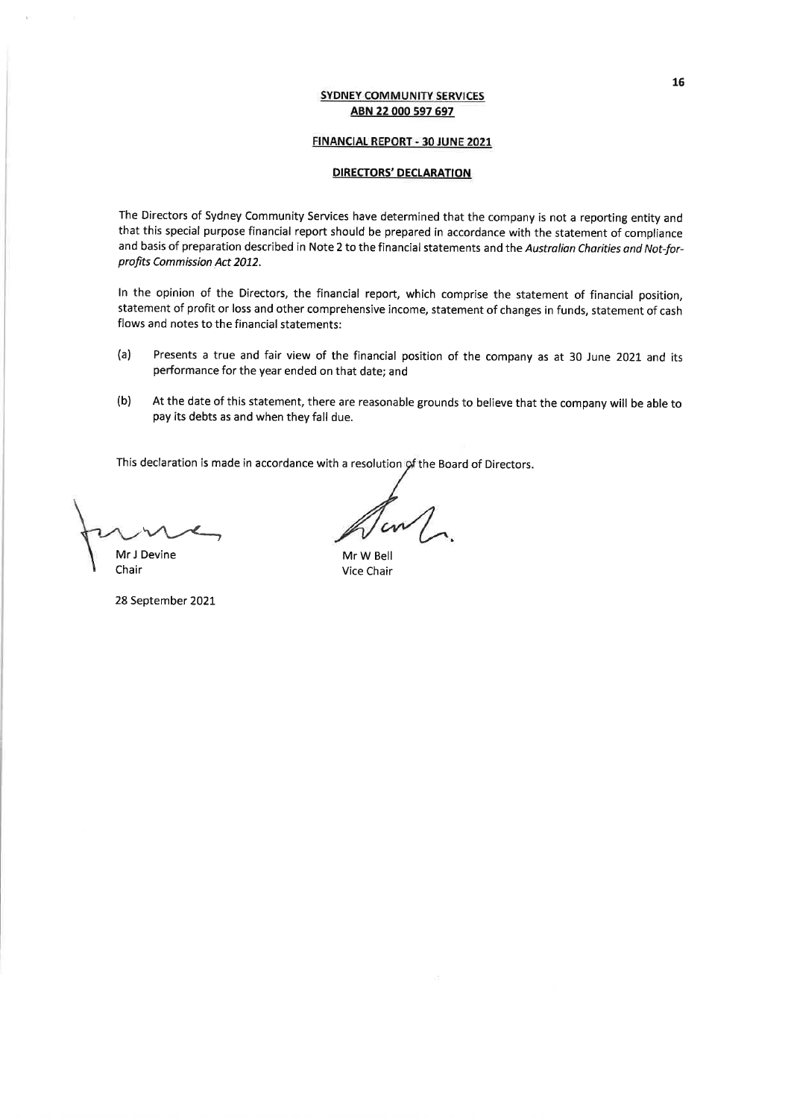### FINANCIAL REPORT - 30 JUNE 2021

## **DIRECTORS' DECLARATION**

The Directors of Sydney Community Services have determined that the company is not a reporting entity and that this special purpose financial report should be prepared in accordance with the statement of compliance and basis of preparation described in Note 2 to the financial statements and the Australian Charities and Not-forprofits Commission Act 2012.

In the opinion of the Directors, the financial report, which comprise the statement of financial position, statement of profit or loss and other comprehensive income, statement of changes in funds, statement of cash flows and notes to the financial statements:

- Presents a true and fair view of the financial position of the company as at 30 June 2021 and its  $(a)$ performance for the year ended on that date; and
- $(b)$ At the date of this statement, there are reasonable grounds to believe that the company will be able to pay its debts as and when they fall due.

This declaration is made in accordance with a resolution of the Board of Directors.

Mr J Devine

Chair

28 September 2021

Mr W Bell Vice Chair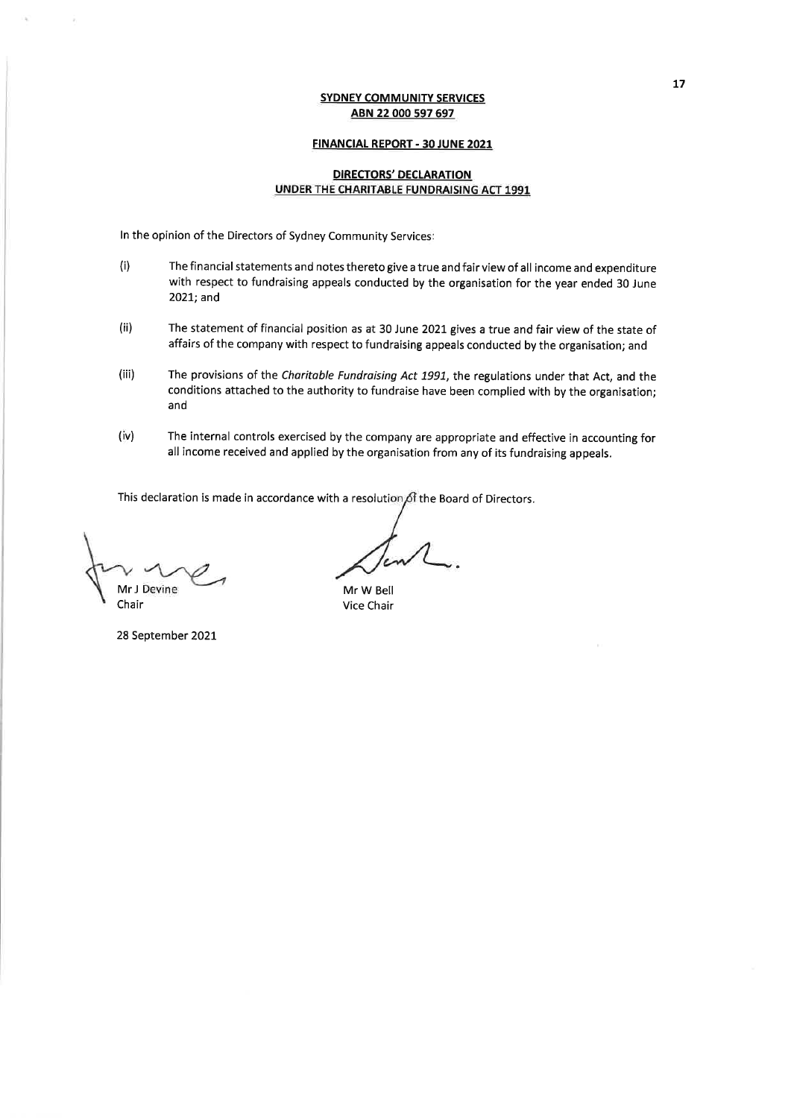#### **FINANCIAL REPORT - 30 JUNE 2021**

## **DIRECTORS' DECLARATION** UNDER THE CHARITABLE FUNDRAISING ACT 1991

In the opinion of the Directors of Sydney Community Services:

- $(i)$ The financial statements and notes thereto give a true and fair view of all income and expenditure with respect to fundraising appeals conducted by the organisation for the year ended 30 June 2021; and
- The statement of financial position as at 30 June 2021 gives a true and fair view of the state of  $(ii)$ affairs of the company with respect to fundraising appeals conducted by the organisation; and
- $(iii)$ The provisions of the Charitable Fundraising Act 1991, the regulations under that Act, and the conditions attached to the authority to fundraise have been complied with by the organisation; and
- The internal controls exercised by the company are appropriate and effective in accounting for  $(iv)$ all income received and applied by the organisation from any of its fundraising appeals.

This declaration is made in accordance with a resolution of the Board of Directors.

Mr J Devine Chair

28 September 2021

Mr W Bell Vice Chair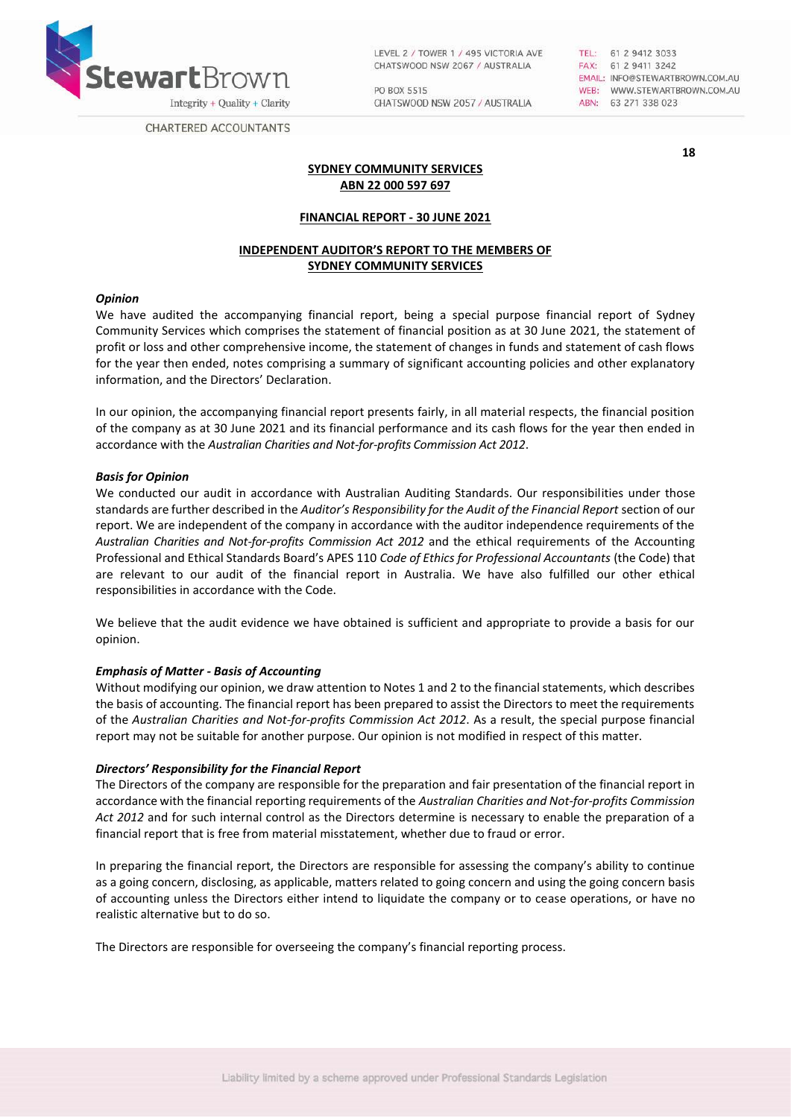

LEVEL 2 / TOWER 1 / 495 VICTORIA AVE CHATSWOOD NSW 2067 / AUSTRALIA

PO BOX 5515 CHATSWOOD NSW 2057 / AUSTRALIA TEL: 61 2 9412 3033<br>FAX: 61 2 9411 3242 EMAIL: INFO@STEWARTBROWN.COM.AU WEB: WWW.STEWARTBROWN.COM.AU ABN: 63 271 338 023

**18**

**CHARTERED ACCOUNTANTS** 

## **SYDNEY COMMUNITY SERVICES ABN 22 000 597 697**

## **FINANCIAL REPORT - 30 JUNE 2021**

# **INDEPENDENT AUDITOR'S REPORT TO THE MEMBERS OF SYDNEY COMMUNITY SERVICES**

#### *Opinion*

We have audited the accompanying financial report, being a special purpose financial report of Sydney Community Services which comprises the statement of financial position as at 30 June 2021, the statement of profit or loss and other comprehensive income, the statement of changes in funds and statement of cash flows for the year then ended, notes comprising a summary of significant accounting policies and other explanatory information, and the Directors' Declaration.

In our opinion, the accompanying financial report presents fairly, in all material respects, the financial position of the company as at 30 June 2021 and its financial performance and its cash flows for the year then ended in accordance with the *Australian Charities and Not-for-profits Commission Act 2012*.

#### *Basis for Opinion*

We conducted our audit in accordance with Australian Auditing Standards. Our responsibilities under those standards are further described in the *Auditor's Responsibility for the Audit of the Financial Report* section of our report. We are independent of the company in accordance with the auditor independence requirements of the *Australian Charities and Not-for-profits Commission Act 2012* and the ethical requirements of the Accounting Professional and Ethical Standards Board's APES 110 *Code of Ethics for Professional Accountants* (the Code) that are relevant to our audit of the financial report in Australia. We have also fulfilled our other ethical responsibilities in accordance with the Code.

We believe that the audit evidence we have obtained is sufficient and appropriate to provide a basis for our opinion.

## *Emphasis of Matter - Basis of Accounting*

Without modifying our opinion, we draw attention to Notes 1 and 2 to the financial statements, which describes the basis of accounting. The financial report has been prepared to assist the Directors to meet the requirements of the *Australian Charities and Not-for-profits Commission Act 2012*. As a result, the special purpose financial report may not be suitable for another purpose. Our opinion is not modified in respect of this matter.

## *Directors' Responsibility for the Financial Report*

The Directors of the company are responsible for the preparation and fair presentation of the financial report in accordance with the financial reporting requirements of the *Australian Charities and Not‐for‐profits Commission Act 2012* and for such internal control as the Directors determine is necessary to enable the preparation of a financial report that is free from material misstatement, whether due to fraud or error.

In preparing the financial report, the Directors are responsible for assessing the company's ability to continue as a going concern, disclosing, as applicable, matters related to going concern and using the going concern basis of accounting unless the Directors either intend to liquidate the company or to cease operations, or have no realistic alternative but to do so.

The Directors are responsible for overseeing the company's financial reporting process.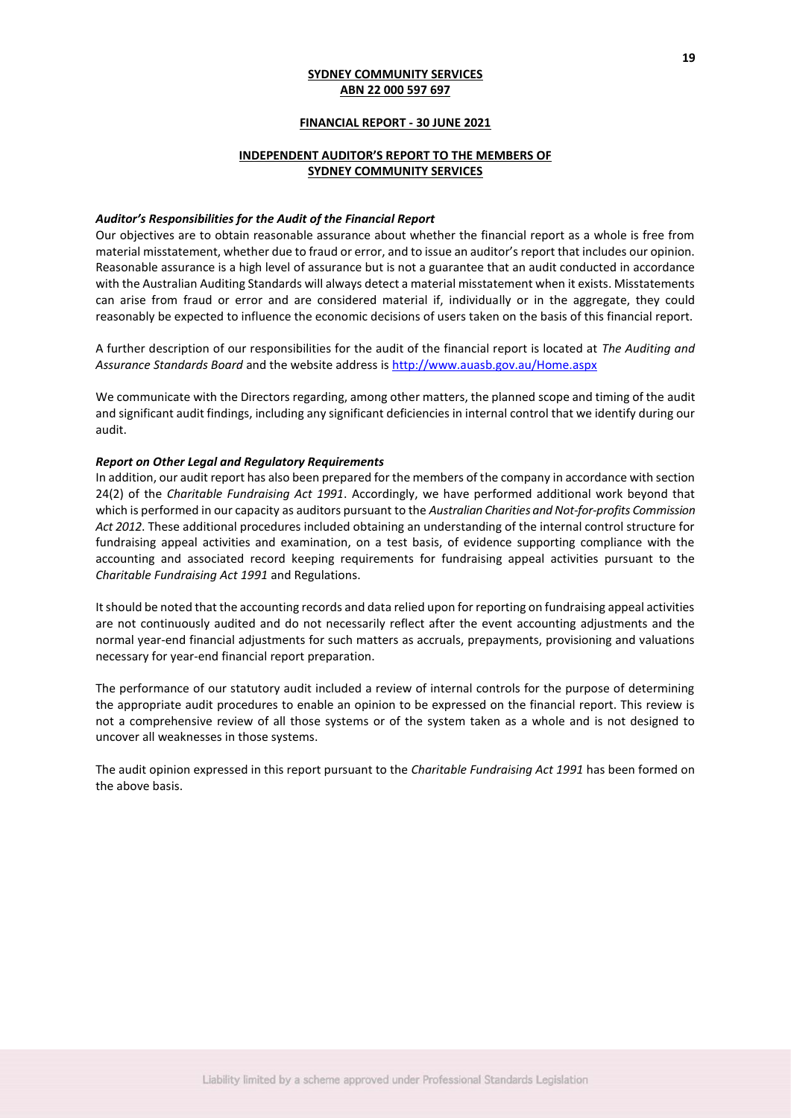#### **FINANCIAL REPORT - 30 JUNE 2021**

# **INDEPENDENT AUDITOR'S REPORT TO THE MEMBERS OF SYDNEY COMMUNITY SERVICES**

#### *Auditor's Responsibilities for the Audit of the Financial Report*

Our objectives are to obtain reasonable assurance about whether the financial report as a whole is free from material misstatement, whether due to fraud or error, and to issue an auditor's report that includes our opinion. Reasonable assurance is a high level of assurance but is not a guarantee that an audit conducted in accordance with the Australian Auditing Standards will always detect a material misstatement when it exists. Misstatements can arise from fraud or error and are considered material if, individually or in the aggregate, they could reasonably be expected to influence the economic decisions of users taken on the basis of this financial report.

A further description of our responsibilities for the audit of the financial report is located at *The Auditing and Assurance Standards Board* and the website address is<http://www.auasb.gov.au/Home.aspx>

We communicate with the Directors regarding, among other matters, the planned scope and timing of the audit and significant audit findings, including any significant deficiencies in internal control that we identify during our audit.

### *Report on Other Legal and Regulatory Requirements*

In addition, our audit report has also been prepared for the members of the company in accordance with section 24(2) of the *Charitable Fundraising Act 1991*. Accordingly, we have performed additional work beyond that which is performed in our capacity as auditors pursuant to the *Australian Charities and Not-for-profits Commission Act 2012*. These additional procedures included obtaining an understanding of the internal control structure for fundraising appeal activities and examination, on a test basis, of evidence supporting compliance with the accounting and associated record keeping requirements for fundraising appeal activities pursuant to the *Charitable Fundraising Act 1991* and Regulations.

It should be noted that the accounting records and data relied upon for reporting on fundraising appeal activities are not continuously audited and do not necessarily reflect after the event accounting adjustments and the normal year-end financial adjustments for such matters as accruals, prepayments, provisioning and valuations necessary for year-end financial report preparation.

The performance of our statutory audit included a review of internal controls for the purpose of determining the appropriate audit procedures to enable an opinion to be expressed on the financial report. This review is not a comprehensive review of all those systems or of the system taken as a whole and is not designed to uncover all weaknesses in those systems.

The audit opinion expressed in this report pursuant to the *Charitable Fundraising Act 1991* has been formed on the above basis.